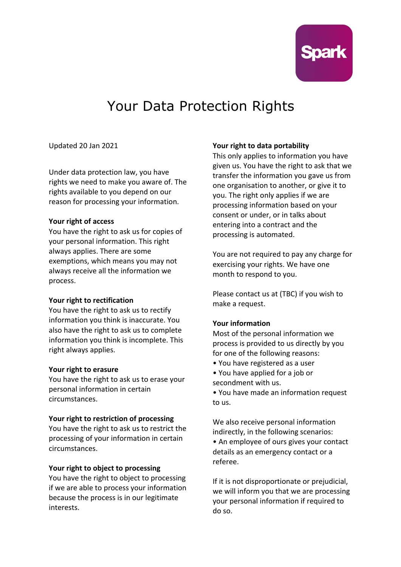

# Your Data Protection Rights

Updated 20 Jan 2021

Under data protection law, you have rights we need to make you aware of. The rights available to you depend on our reason for processing your information.

## **Your right of access**

You have the right to ask us for copies of your personal information. This right always applies. There are some exemptions, which means you may not always receive all the information we process.

## **Your right to rectification**

You have the right to ask us to rectify information you think is inaccurate. You also have the right to ask us to complete information you think is incomplete. This right always applies.

## **Your right to erasure**

You have the right to ask us to erase your personal information in certain circumstances.

## **Your right to restriction of processing**

You have the right to ask us to restrict the processing of your information in certain circumstances.

## **Your right to object to processing**

You have the right to object to processing if we are able to process your information because the process is in our legitimate interests.

## **Your right to data portability**

This only applies to information you have given us. You have the right to ask that we transfer the information you gave us from one organisation to another, or give it to you. The right only applies if we are processing information based on your consent or under, or in talks about entering into a contract and the processing is automated.

You are not required to pay any charge for exercising your rights. We have one month to respond to you.

Please contact us at (TBC) if you wish to make a request.

## **Your information**

Most of the personal information we process is provided to us directly by you for one of the following reasons:

- You have registered as a user
- You have applied for a job or secondment with us.
- You have made an information request to us.

We also receive personal information indirectly, in the following scenarios:

• An employee of ours gives your contact details as an emergency contact or a referee.

If it is not disproportionate or prejudicial, we will inform you that we are processing your personal information if required to do so.